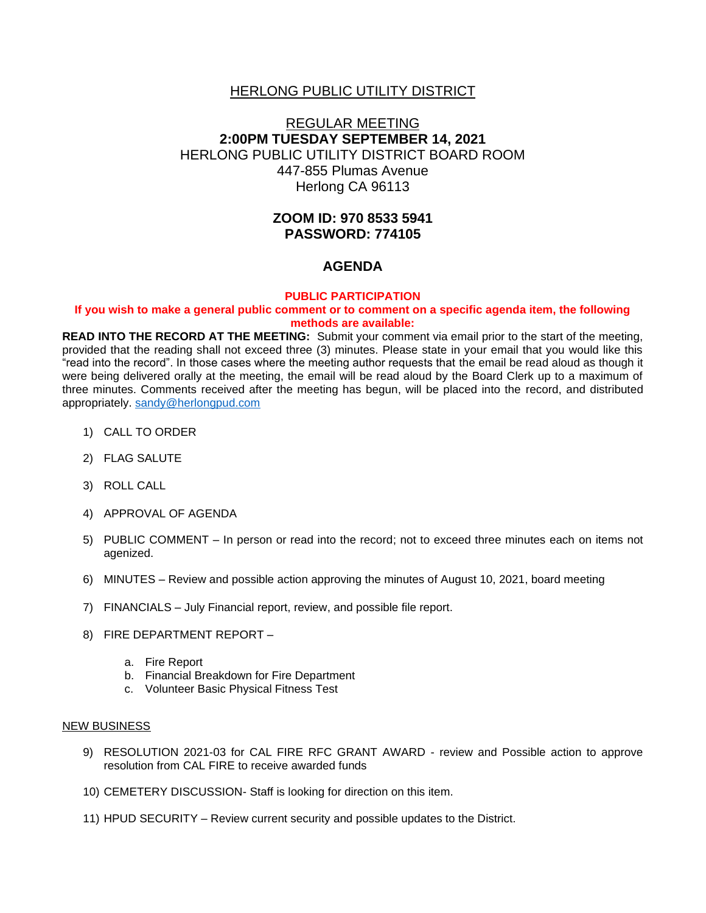## HERLONG PUBLIC UTILITY DISTRICT

# REGULAR MEETING **2:00PM TUESDAY SEPTEMBER 14, 2021** HERLONG PUBLIC UTILITY DISTRICT BOARD ROOM 447-855 Plumas Avenue Herlong CA 96113

# **ZOOM ID: 970 8533 5941 PASSWORD: 774105**

## **AGENDA**

#### **PUBLIC PARTICIPATION**

#### **If you wish to make a general public comment or to comment on a specific agenda item, the following methods are available:**

**READ INTO THE RECORD AT THE MEETING:** Submit your comment via email prior to the start of the meeting, provided that the reading shall not exceed three (3) minutes. Please state in your email that you would like this "read into the record". In those cases where the meeting author requests that the email be read aloud as though it were being delivered orally at the meeting, the email will be read aloud by the Board Clerk up to a maximum of three minutes. Comments received after the meeting has begun, will be placed into the record, and distributed appropriately. [sandy@herlongpud.com](mailto:sandy@herlongpud.com)

- 1) CALL TO ORDER
- 2) FLAG SALUTE
- 3) ROLL CALL
- 4) APPROVAL OF AGENDA
- 5) PUBLIC COMMENT In person or read into the record; not to exceed three minutes each on items not agenized.
- 6) MINUTES Review and possible action approving the minutes of August 10, 2021, board meeting
- 7) FINANCIALS July Financial report, review, and possible file report.
- 8) FIRE DEPARTMENT REPORT
	- a. Fire Report
	- b. Financial Breakdown for Fire Department
	- c. Volunteer Basic Physical Fitness Test

#### NEW BUSINESS

- 9) RESOLUTION 2021-03 for CAL FIRE RFC GRANT AWARD review and Possible action to approve resolution from CAL FIRE to receive awarded funds
- 10) CEMETERY DISCUSSION- Staff is looking for direction on this item.
- 11) HPUD SECURITY Review current security and possible updates to the District.